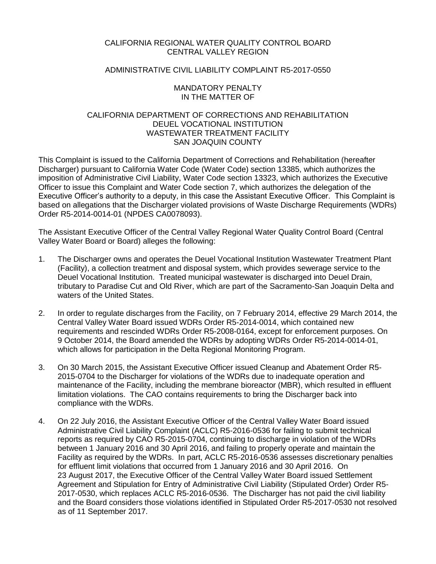## CALIFORNIA REGIONAL WATER QUALITY CONTROL BOARD CENTRAL VALLEY REGION

## ADMINISTRATIVE CIVIL LIABILITY COMPLAINT R5-2017-0550

## MANDATORY PENALTY IN THE MATTER OF

## CALIFORNIA DEPARTMENT OF CORRECTIONS AND REHABILITATION DEUEL VOCATIONAL INSTITUTION WASTEWATER TREATMENT FACILITY SAN JOAQUIN COUNTY

This Complaint is issued to the California Department of Corrections and Rehabilitation (hereafter Discharger) pursuant to California Water Code (Water Code) section 13385, which authorizes the imposition of Administrative Civil Liability, Water Code section 13323, which authorizes the Executive Officer to issue this Complaint and Water Code section 7, which authorizes the delegation of the Executive Officer's authority to a deputy, in this case the Assistant Executive Officer. This Complaint is based on allegations that the Discharger violated provisions of Waste Discharge Requirements (WDRs) Order R5-2014-0014-01 (NPDES CA0078093).

The Assistant Executive Officer of the Central Valley Regional Water Quality Control Board (Central Valley Water Board or Board) alleges the following:

- 1. The Discharger owns and operates the Deuel Vocational Institution Wastewater Treatment Plant (Facility), a collection treatment and disposal system, which provides sewerage service to the Deuel Vocational Institution. Treated municipal wastewater is discharged into Deuel Drain, tributary to Paradise Cut and Old River, which are part of the Sacramento-San Joaquin Delta and waters of the United States.
- 2. In order to regulate discharges from the Facility, on 7 February 2014, effective 29 March 2014, the Central Valley Water Board issued WDRs Order R5-2014-0014, which contained new requirements and rescinded WDRs Order R5-2008-0164, except for enforcement purposes. On 9 October 2014, the Board amended the WDRs by adopting WDRs Order R5-2014-0014-01, which allows for participation in the Delta Regional Monitoring Program.
- 3. On 30 March 2015, the Assistant Executive Officer issued Cleanup and Abatement Order R5- 2015-0704 to the Discharger for violations of the WDRs due to inadequate operation and maintenance of the Facility, including the membrane bioreactor (MBR), which resulted in effluent limitation violations. The CAO contains requirements to bring the Discharger back into compliance with the WDRs.
- 4. On 22 July 2016, the Assistant Executive Officer of the Central Valley Water Board issued Administrative Civil Liability Complaint (ACLC) R5-2016-0536 for failing to submit technical reports as required by CAO R5-2015-0704, continuing to discharge in violation of the WDRs between 1 January 2016 and 30 April 2016, and failing to properly operate and maintain the Facility as required by the WDRs. In part, ACLC R5-2016-0536 assesses discretionary penalties for effluent limit violations that occurred from 1 January 2016 and 30 April 2016. On 23 August 2017, the Executive Officer of the Central Valley Water Board issued Settlement Agreement and Stipulation for Entry of Administrative Civil Liability (Stipulated Order) Order R5- 2017-0530, which replaces ACLC R5-2016-0536. The Discharger has not paid the civil liability and the Board considers those violations identified in Stipulated Order R5-2017-0530 not resolved as of 11 September 2017.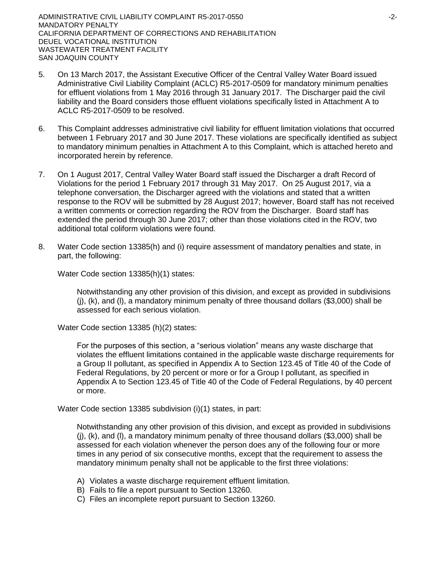- 5. On 13 March 2017, the Assistant Executive Officer of the Central Valley Water Board issued Administrative Civil Liability Complaint (ACLC) R5-2017-0509 for mandatory minimum penalties for effluent violations from 1 May 2016 through 31 January 2017. The Discharger paid the civil liability and the Board considers those effluent violations specifically listed in Attachment A to ACLC R5-2017-0509 to be resolved.
- 6. This Complaint addresses administrative civil liability for effluent limitation violations that occurred between 1 February 2017 and 30 June 2017. These violations are specifically identified as subject to mandatory minimum penalties in Attachment A to this Complaint, which is attached hereto and incorporated herein by reference.
- 7. On 1 August 2017, Central Valley Water Board staff issued the Discharger a draft Record of Violations for the period 1 February 2017 through 31 May 2017. On 25 August 2017, via a telephone conversation, the Discharger agreed with the violations and stated that a written response to the ROV will be submitted by 28 August 2017; however, Board staff has not received a written comments or correction regarding the ROV from the Discharger. Board staff has extended the period through 30 June 2017; other than those violations cited in the ROV, two additional total coliform violations were found.
- 8. Water Code section 13385(h) and (i) require assessment of mandatory penalties and state, in part, the following:

Water Code section 13385(h)(1) states:

Notwithstanding any other provision of this division, and except as provided in subdivisions  $(i)$ ,  $(k)$ , and  $(l)$ , a mandatory minimum penalty of three thousand dollars (\$3,000) shall be assessed for each serious violation.

Water Code section 13385 (h)(2) states:

For the purposes of this section, a "serious violation" means any waste discharge that violates the effluent limitations contained in the applicable waste discharge requirements for a Group II pollutant, as specified in Appendix A to Section 123.45 of Title 40 of the Code of Federal Regulations, by 20 percent or more or for a Group I pollutant, as specified in Appendix A to Section 123.45 of Title 40 of the Code of Federal Regulations, by 40 percent or more.

Water Code section 13385 subdivision (i)(1) states, in part:

Notwithstanding any other provision of this division, and except as provided in subdivisions (j), (k), and (l), a mandatory minimum penalty of three thousand dollars (\$3,000) shall be assessed for each violation whenever the person does any of the following four or more times in any period of six consecutive months, except that the requirement to assess the mandatory minimum penalty shall not be applicable to the first three violations:

- A) Violates a waste discharge requirement effluent limitation.
- B) Fails to file a report pursuant to Section 13260.
- C) Files an incomplete report pursuant to Section 13260.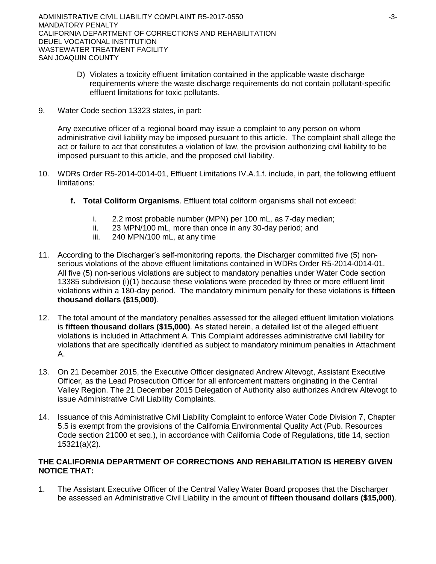- D) Violates a toxicity effluent limitation contained in the applicable waste discharge requirements where the waste discharge requirements do not contain pollutant-specific effluent limitations for toxic pollutants.
- 9. Water Code section 13323 states, in part:

Any executive officer of a regional board may issue a complaint to any person on whom administrative civil liability may be imposed pursuant to this article. The complaint shall allege the act or failure to act that constitutes a violation of law, the provision authorizing civil liability to be imposed pursuant to this article, and the proposed civil liability.

- 10. WDRs Order R5-2014-0014-01, Effluent Limitations IV.A.1.f. include, in part, the following effluent limitations:
	- **f. Total Coliform Organisms**. Effluent total coliform organisms shall not exceed:
		- i. 2.2 most probable number (MPN) per 100 mL, as 7-day median;
		- ii. 23 MPN/100 mL, more than once in any 30-day period; and
		- iii. 240 MPN/100 mL, at any time
- 11. According to the Discharger's self-monitoring reports, the Discharger committed five (5) nonserious violations of the above effluent limitations contained in WDRs Order R5-2014-0014-01. All five (5) non-serious violations are subject to mandatory penalties under Water Code section 13385 subdivision (i)(1) because these violations were preceded by three or more effluent limit violations within a 180-day period. The mandatory minimum penalty for these violations is **fifteen thousand dollars (\$15,000)**.
- 12. The total amount of the mandatory penalties assessed for the alleged effluent limitation violations is **fifteen thousand dollars (\$15,000)**. As stated herein, a detailed list of the alleged effluent violations is included in Attachment A. This Complaint addresses administrative civil liability for violations that are specifically identified as subject to mandatory minimum penalties in Attachment A.
- 13. On 21 December 2015, the Executive Officer designated Andrew Altevogt, Assistant Executive Officer, as the Lead Prosecution Officer for all enforcement matters originating in the Central Valley Region. The 21 December 2015 Delegation of Authority also authorizes Andrew Altevogt to issue Administrative Civil Liability Complaints.
- 14. Issuance of this Administrative Civil Liability Complaint to enforce Water Code Division 7, Chapter 5.5 is exempt from the provisions of the California Environmental Quality Act (Pub. Resources Code section 21000 et seq.), in accordance with California Code of Regulations, title 14, section 15321(a)(2).

## **THE CALIFORNIA DEPARTMENT OF CORRECTIONS AND REHABILITATION IS HEREBY GIVEN NOTICE THAT:**

1. The Assistant Executive Officer of the Central Valley Water Board proposes that the Discharger be assessed an Administrative Civil Liability in the amount of **fifteen thousand dollars (\$15,000)**.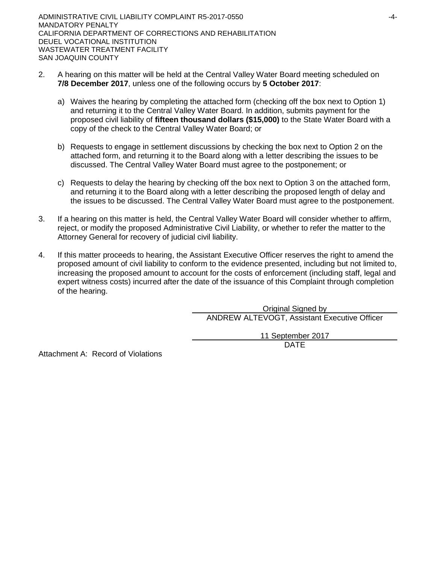- 2. A hearing on this matter will be held at the Central Valley Water Board meeting scheduled on **7/8 December 2017**, unless one of the following occurs by **5 October 2017**:
	- a) Waives the hearing by completing the attached form (checking off the box next to Option 1) and returning it to the Central Valley Water Board. In addition, submits payment for the proposed civil liability of **fifteen thousand dollars (\$15,000)** to the State Water Board with a copy of the check to the Central Valley Water Board; or
	- b) Requests to engage in settlement discussions by checking the box next to Option 2 on the attached form, and returning it to the Board along with a letter describing the issues to be discussed. The Central Valley Water Board must agree to the postponement; or
	- c) Requests to delay the hearing by checking off the box next to Option 3 on the attached form, and returning it to the Board along with a letter describing the proposed length of delay and the issues to be discussed. The Central Valley Water Board must agree to the postponement.
- 3. If a hearing on this matter is held, the Central Valley Water Board will consider whether to affirm, reject, or modify the proposed Administrative Civil Liability, or whether to refer the matter to the Attorney General for recovery of judicial civil liability.
- 4. If this matter proceeds to hearing, the Assistant Executive Officer reserves the right to amend the proposed amount of civil liability to conform to the evidence presented, including but not limited to, increasing the proposed amount to account for the costs of enforcement (including staff, legal and expert witness costs) incurred after the date of the issuance of this Complaint through completion of the hearing.

Original Signed by ANDREW ALTEVOGT, Assistant Executive Officer 11 September 2017

DATE

Attachment A: Record of Violations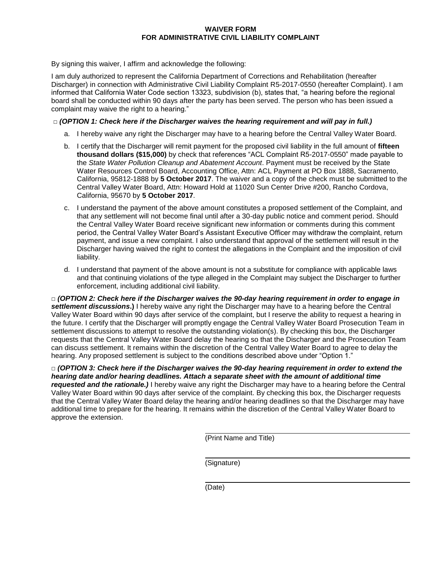#### **WAIVER FORM FOR ADMINISTRATIVE CIVIL LIABILITY COMPLAINT**

By signing this waiver, I affirm and acknowledge the following:

I am duly authorized to represent the California Department of Corrections and Rehabilitation (hereafter Discharger) in connection with Administrative Civil Liability Complaint R5-2017-0550 (hereafter Complaint). I am informed that California Water Code section 13323, subdivision (b), states that, "a hearing before the regional board shall be conducted within 90 days after the party has been served. The person who has been issued a complaint may waive the right to a hearing."

#### **□** *(OPTION 1: Check here if the Discharger waives the hearing requirement and will pay in full.)*

- a. I hereby waive any right the Discharger may have to a hearing before the Central Valley Water Board.
- b. I certify that the Discharger will remit payment for the proposed civil liability in the full amount of **fifteen thousand dollars (\$15,000)** by check that references "ACL Complaint R5-2017-0550" made payable to the *State Water Pollution Cleanup and Abatement Account*. Payment must be received by the State Water Resources Control Board, Accounting Office, Attn: ACL Payment at PO Box 1888, Sacramento, California, 95812-1888 by **5 October 2017**. The waiver and a copy of the check must be submitted to the Central Valley Water Board, Attn: Howard Hold at 11020 Sun Center Drive #200, Rancho Cordova, California, 95670 by **5 October 2017**.
- c. I understand the payment of the above amount constitutes a proposed settlement of the Complaint, and that any settlement will not become final until after a 30-day public notice and comment period. Should the Central Valley Water Board receive significant new information or comments during this comment period, the Central Valley Water Board's Assistant Executive Officer may withdraw the complaint, return payment, and issue a new complaint. I also understand that approval of the settlement will result in the Discharger having waived the right to contest the allegations in the Complaint and the imposition of civil liability.
- d. I understand that payment of the above amount is not a substitute for compliance with applicable laws and that continuing violations of the type alleged in the Complaint may subject the Discharger to further enforcement, including additional civil liability.

**□** *(OPTION 2: Check here if the Discharger waives the 90-day hearing requirement in order to engage in settlement discussions***.)** I hereby waive any right the Discharger may have to a hearing before the Central Valley Water Board within 90 days after service of the complaint, but I reserve the ability to request a hearing in the future. I certify that the Discharger will promptly engage the Central Valley Water Board Prosecution Team in settlement discussions to attempt to resolve the outstanding violation(s). By checking this box, the Discharger requests that the Central Valley Water Board delay the hearing so that the Discharger and the Prosecution Team can discuss settlement. It remains within the discretion of the Central Valley Water Board to agree to delay the hearing. Any proposed settlement is subject to the conditions described above under "Option 1."

**□** *(OPTION 3: Check here if the Discharger waives the 90-day hearing requirement in order to extend the hearing date and/or hearing deadlines. Attach a separate sheet with the amount of additional time requested and the rationale.)* I hereby waive any right the Discharger may have to a hearing before the Central Valley Water Board within 90 days after service of the complaint. By checking this box, the Discharger requests that the Central Valley Water Board delay the hearing and/or hearing deadlines so that the Discharger may have additional time to prepare for the hearing. It remains within the discretion of the Central Valley Water Board to approve the extension.

(Print Name and Title)

(Signature)

(Date)